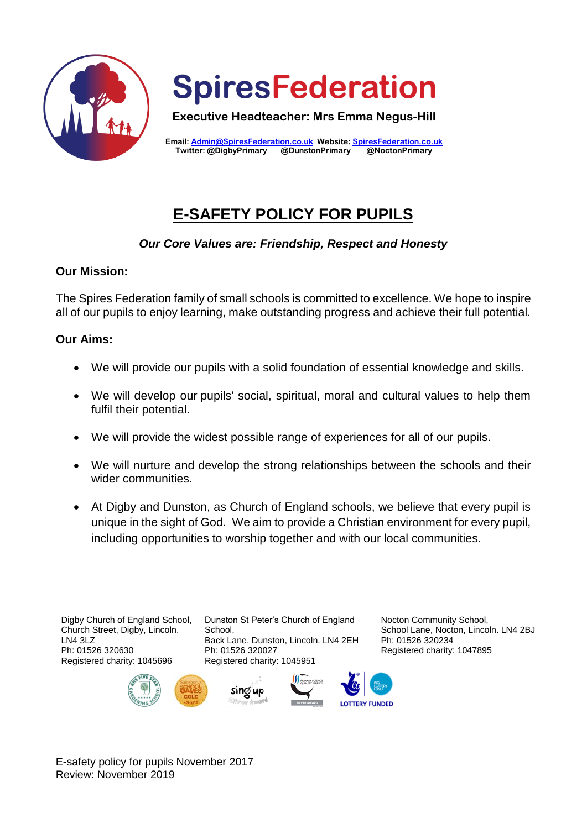



**Executive Headteacher: Mrs Emma Negus-Hill**

**Email: [Admin@SpiresFederation.co.uk](mailto:Admin@SpiresFederation.co.uk) Website[: SpiresFederation.co.uk](http://www.spiresfederation.co.uk/) Twitter: @DigbyPrimary @DunstonPrimary @NoctonPrimary**

# **E-SAFETY POLICY FOR PUPILS**

## *Our Core Values are: Friendship, Respect and Honesty*

#### **Our Mission:**

The Spires Federation family of small schools is committed to excellence. We hope to inspire all of our pupils to enjoy learning, make outstanding progress and achieve their full potential.

### **Our Aims:**

- We will provide our pupils with a solid foundation of essential knowledge and skills.
- We will develop our pupils' social, spiritual, moral and cultural values to help them fulfil their potential.
- We will provide the widest possible range of experiences for all of our pupils.
- We will nurture and develop the strong relationships between the schools and their wider communities.
- At Digby and Dunston, as Church of England schools, we believe that every pupil is unique in the sight of God. We aim to provide a Christian environment for every pupil, including opportunities to worship together and with our local communities.

Digby Church of England School, Church Street, Digby, Lincoln. LN4 3LZ Ph: 01526 320630 Registered charity: 1045696

Dunston St Peter's Church of England School, Back Lane, Dunston, Lincoln. LN4 2EH Ph: 01526 320027 Registered charity: 1045951



Nocton Community School, School Lane, Nocton, Lincoln. LN4 2BJ Ph: 01526 320234 Registered charity: 1047895





E-safety policy for pupils November 2017 Review: November 2019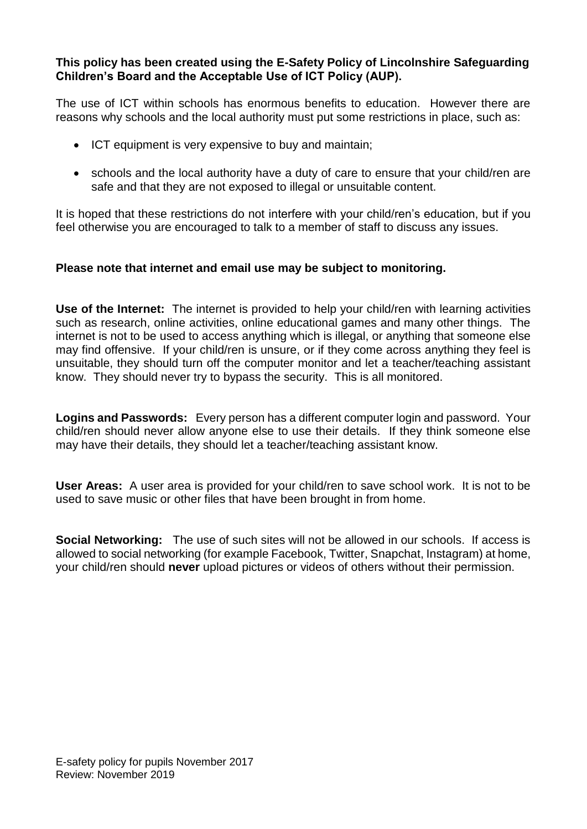#### **This policy has been created using the E-Safety Policy of Lincolnshire Safeguarding Children's Board and the Acceptable Use of ICT Policy (AUP).**

The use of ICT within schools has enormous benefits to education. However there are reasons why schools and the local authority must put some restrictions in place, such as:

- ICT equipment is very expensive to buy and maintain;
- schools and the local authority have a duty of care to ensure that your child/ren are safe and that they are not exposed to illegal or unsuitable content.

It is hoped that these restrictions do not interfere with your child/ren's education, but if you feel otherwise you are encouraged to talk to a member of staff to discuss any issues.

#### **Please note that internet and email use may be subject to monitoring.**

**Use of the Internet:** The internet is provided to help your child/ren with learning activities such as research, online activities, online educational games and many other things. The internet is not to be used to access anything which is illegal, or anything that someone else may find offensive. If your child/ren is unsure, or if they come across anything they feel is unsuitable, they should turn off the computer monitor and let a teacher/teaching assistant know. They should never try to bypass the security. This is all monitored.

**Logins and Passwords:** Every person has a different computer login and password. Your child/ren should never allow anyone else to use their details. If they think someone else may have their details, they should let a teacher/teaching assistant know.

**User Areas:** A user area is provided for your child/ren to save school work. It is not to be used to save music or other files that have been brought in from home.

**Social Networking:** The use of such sites will not be allowed in our schools. If access is allowed to social networking (for example Facebook, Twitter, Snapchat, Instagram) at home, your child/ren should **never** upload pictures or videos of others without their permission.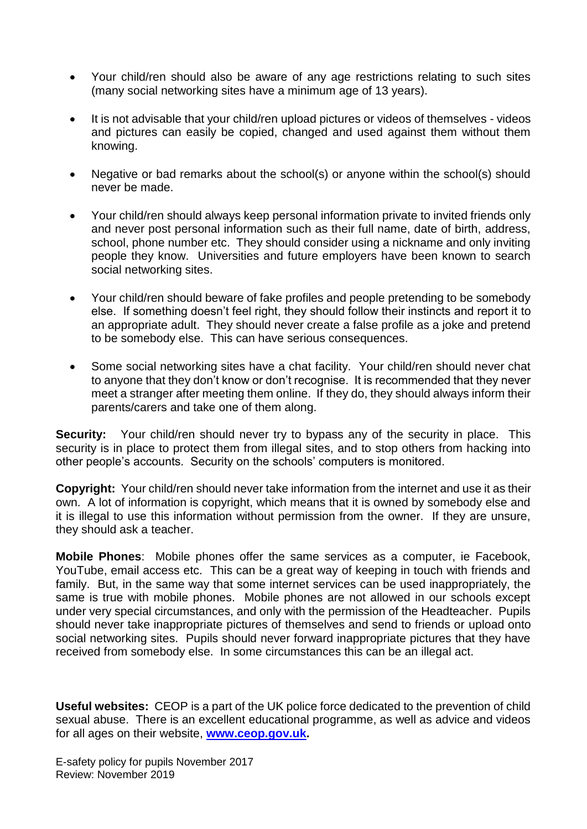- Your child/ren should also be aware of any age restrictions relating to such sites (many social networking sites have a minimum age of 13 years).
- It is not advisable that your child/ren upload pictures or videos of themselves videos and pictures can easily be copied, changed and used against them without them knowing.
- Negative or bad remarks about the school(s) or anyone within the school(s) should never be made.
- Your child/ren should always keep personal information private to invited friends only and never post personal information such as their full name, date of birth, address, school, phone number etc. They should consider using a nickname and only inviting people they know. Universities and future employers have been known to search social networking sites.
- Your child/ren should beware of fake profiles and people pretending to be somebody else. If something doesn't feel right, they should follow their instincts and report it to an appropriate adult. They should never create a false profile as a joke and pretend to be somebody else. This can have serious consequences.
- Some social networking sites have a chat facility. Your child/ren should never chat to anyone that they don't know or don't recognise. It is recommended that they never meet a stranger after meeting them online. If they do, they should always inform their parents/carers and take one of them along.

**Security:** Your child/ren should never try to bypass any of the security in place. This security is in place to protect them from illegal sites, and to stop others from hacking into other people's accounts. Security on the schools' computers is monitored.

**Copyright:** Your child/ren should never take information from the internet and use it as their own. A lot of information is copyright, which means that it is owned by somebody else and it is illegal to use this information without permission from the owner. If they are unsure, they should ask a teacher.

**Mobile Phones**: Mobile phones offer the same services as a computer, ie Facebook, YouTube, email access etc. This can be a great way of keeping in touch with friends and family. But, in the same way that some internet services can be used inappropriately, the same is true with mobile phones. Mobile phones are not allowed in our schools except under very special circumstances, and only with the permission of the Headteacher. Pupils should never take inappropriate pictures of themselves and send to friends or upload onto social networking sites. Pupils should never forward inappropriate pictures that they have received from somebody else. In some circumstances this can be an illegal act.

**Useful websites:** CEOP is a part of the UK police force dedicated to the prevention of child sexual abuse. There is an excellent educational programme, as well as advice and videos for all ages on their website, **[www.ceop.gov.uk.](http://www.ceop.gov.uk/)**

E-safety policy for pupils November 2017 Review: November 2019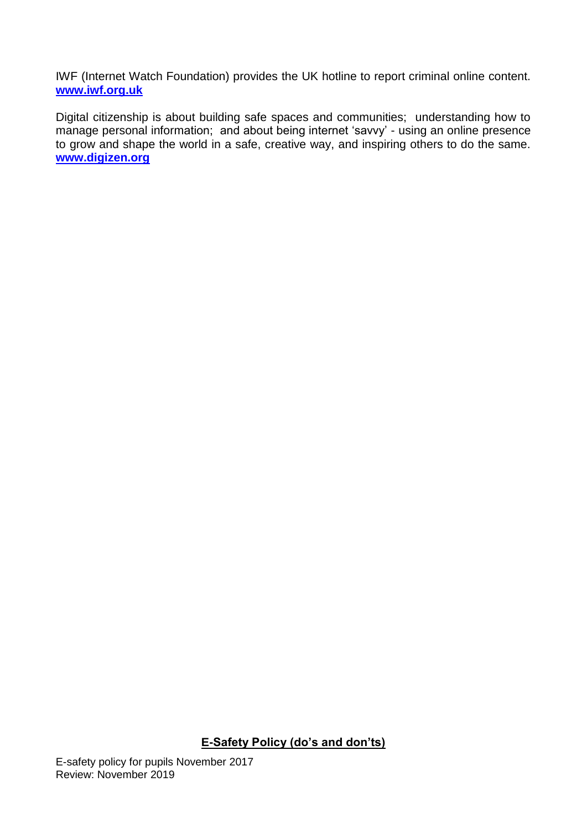IWF (Internet Watch Foundation) provides the UK hotline to report criminal online content. **[www.iwf.org.uk](http://www.iwf.org.uk/)**

Digital citizenship is about building safe spaces and communities; understanding how to manage personal information; and about being internet 'savvy' - using an online presence to grow and shape the world in a safe, creative way, and inspiring others to do the same. **[www.digizen.org](http://www.digizen.org/)**

**E-Safety Policy (do's and don'ts)**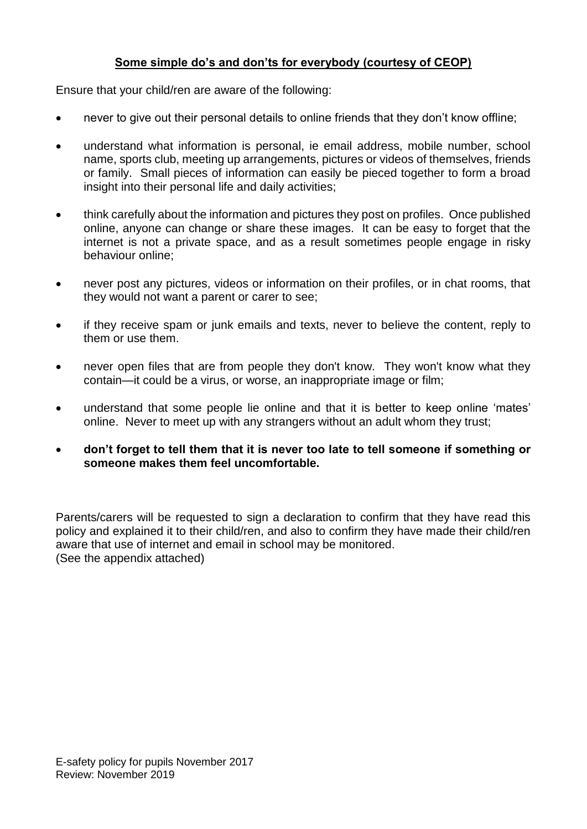## **Some simple do's and don'ts for everybody (courtesy of CEOP)**

Ensure that your child/ren are aware of the following:

- never to give out their personal details to online friends that they don't know offline;
- understand what information is personal, ie email address, mobile number, school name, sports club, meeting up arrangements, pictures or videos of themselves, friends or family. Small pieces of information can easily be pieced together to form a broad insight into their personal life and daily activities;
- think carefully about the information and pictures they post on profiles. Once published online, anyone can change or share these images. It can be easy to forget that the internet is not a private space, and as a result sometimes people engage in risky behaviour online;
- never post any pictures, videos or information on their profiles, or in chat rooms, that they would not want a parent or carer to see;
- if they receive spam or junk emails and texts, never to believe the content, reply to them or use them.
- never open files that are from people they don't know. They won't know what they contain—it could be a virus, or worse, an inappropriate image or film;
- understand that some people lie online and that it is better to keep online 'mates' online. Never to meet up with any strangers without an adult whom they trust;
- **don't forget to tell them that it is never too late to tell someone if something or someone makes them feel uncomfortable.**

Parents/carers will be requested to sign a declaration to confirm that they have read this policy and explained it to their child/ren, and also to confirm they have made their child/ren aware that use of internet and email in school may be monitored. (See the appendix attached)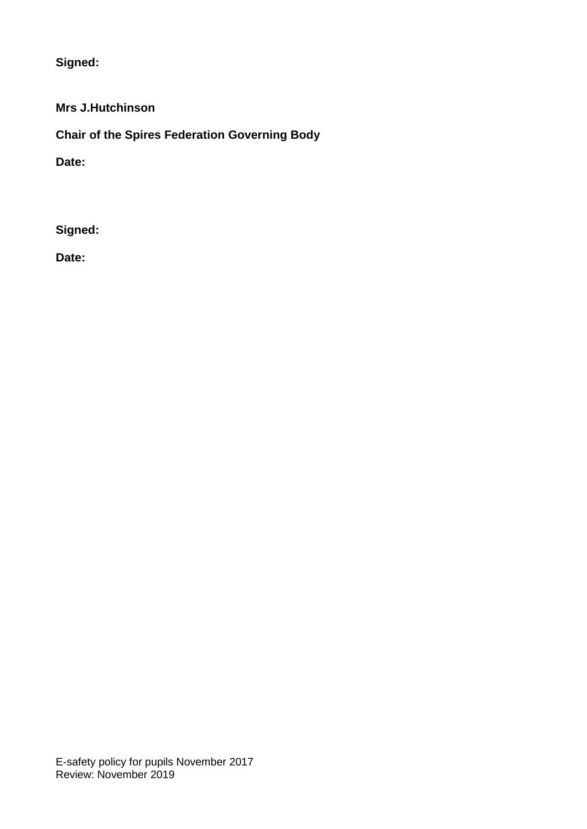**Signed:**

**Mrs J.Hutchinson**

**Chair of the Spires Federation Governing Body**

**Date:**

**Signed:**

**Date:**